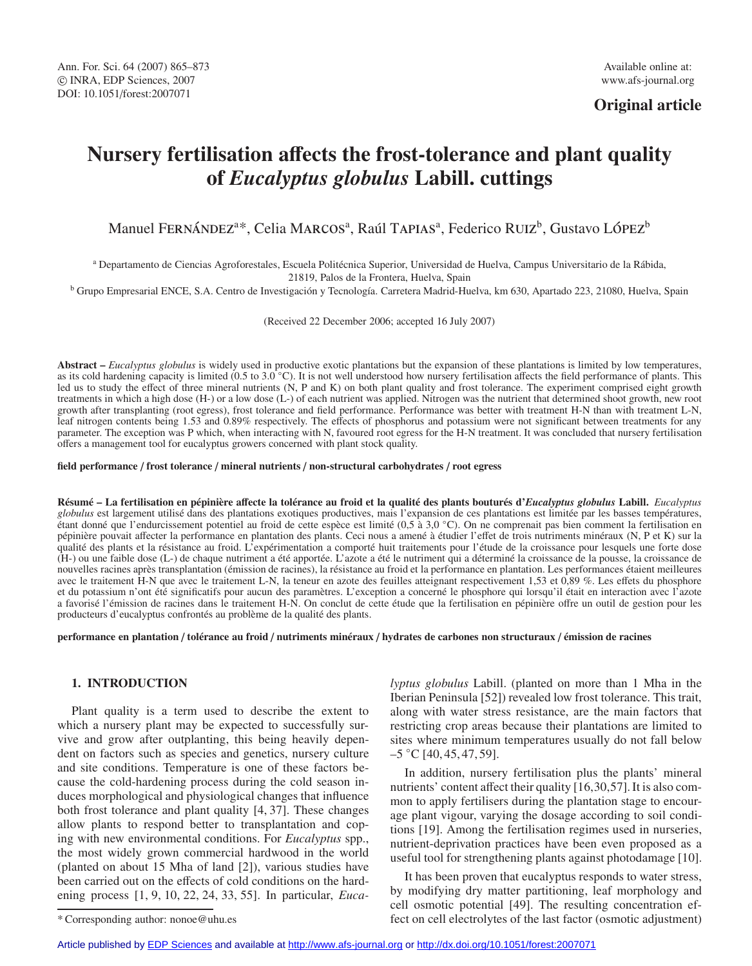# **Original article**

# **Nursery fertilisation a**ff**ects the frost-tolerance and plant quality of** *Eucalyptus globulus* **Labill. cuttings**

Manuel F $\texttt{ERN\'ANDEZ}^{\textup{a}*}$ , Celia MARCOS<sup>a</sup>, Raúl TAPIAS<sup>a</sup>, Federico RUIZ<sup>b</sup>, Gustavo LÓPEZ<sup>b</sup>

<sup>a</sup> Departamento de Ciencias Agroforestales, Escuela Politécnica Superior, Universidad de Huelva, Campus Universitario de la Rábida, 21819, Palos de la Frontera, Huelva, Spain

<sup>b</sup> Grupo Empresarial ENCE, S.A. Centro de Investigación y Tecnología. Carretera Madrid-Huelva, km 630, Apartado 223, 21080, Huelva, Spain

(Received 22 December 2006; accepted 16 July 2007)

**Abstract –** *Eucalyptus globulus* is widely used in productive exotic plantations but the expansion of these plantations is limited by low temperatures, as its cold hardening capacity is limited (0.5 to 3.0 ◦C). It is not well understood how nursery fertilisation affects the field performance of plants. This led us to study the effect of three mineral nutrients (N, P and K) on both plant quality and frost tolerance. The experiment comprised eight growth treatments in which a high dose (H-) or a low dose (L-) of each nutrient was applied. Nitrogen was the nutrient that determined shoot growth, new root growth after transplanting (root egress), frost tolerance and field performance. Performance was better with treatment H-N than with treatment L-N, leaf nitrogen contents being 1.53 and 0.89% respectively. The effects of phosphorus and potassium were not significant between treatments for any parameter. The exception was P which, when interacting with N, favoured root egress for the H-N treatment. It was concluded that nursery fertilisation offers a management tool for eucalyptus growers concerned with plant stock quality.

**field performance** / **frost tolerance** / **mineral nutrients** / **non-structural carbohydrates** / **root egress**

**Résumé – La fertilisation en pépinière a**ff**ecte la tolérance au froid et la qualité des plants bouturés d'***Eucalyptus globulus* **Labill.** *Eucalyptus globulus* est largement utilisé dans des plantations exotiques productives, mais l'expansion de ces plantations est limitée par les basses températures, étant donné que l'endurcissement potentiel au froid de cette espèce est limité (0,5 à 3,0 ◦C). On ne comprenait pas bien comment la fertilisation en pépinière pouvait affecter la performance en plantation des plants. Ceci nous a amené à étudier l'effet de trois nutriments minéraux (N, P et K) sur la qualité des plants et la résistance au froid. L'expérimentation a comporté huit traitements pour l'étude de la croissance pour lesquels une forte dose (H-) ou une faible dose (L-) de chaque nutriment a été apportée. L'azote a été le nutriment qui a déterminé la croissance de la pousse, la croissance de nouvelles racines après transplantation (émission de racines), la résistance au froid et la performance en plantation. Les performances étaient meilleures avec le traitement H-N que avec le traitement L-N, la teneur en azote des feuilles atteignant respectivement 1,53 et 0,89 %. Les effets du phosphore et du potassium n'ont été significatifs pour aucun des paramètres. L'exception a concerné le phosphore qui lorsqu'il était en interaction avec l'azote a favorisé l'émission de racines dans le traitement H-N. On conclut de cette étude que la fertilisation en pépinière offre un outil de gestion pour les producteurs d'eucalyptus confrontés au problème de la qualité des plants.

**performance en plantation** / **tolérance au froid** / **nutriments minéraux** / **hydrates de carbones non structuraux** / **émission de racines**

# **1. INTRODUCTION**

Plant quality is a term used to describe the extent to which a nursery plant may be expected to successfully survive and grow after outplanting, this being heavily dependent on factors such as species and genetics, nursery culture and site conditions. Temperature is one of these factors because the cold-hardening process during the cold season induces morphological and physiological changes that influence both frost tolerance and plant quality [4, 37]. These changes allow plants to respond better to transplantation and coping with new environmental conditions. For *Eucalyptus* spp., the most widely grown commercial hardwood in the world (planted on about 15 Mha of land [2]), various studies have been carried out on the effects of cold conditions on the hardening process [1, 9, 10, 22, 24, 33, 55]. In particular, *Euca-* *lyptus globulus* Labill. (planted on more than 1 Mha in the Iberian Peninsula [52]) revealed low frost tolerance. This trait, along with water stress resistance, are the main factors that restricting crop areas because their plantations are limited to sites where minimum temperatures usually do not fall below  $-5$  °C [40, 45, 47, 59].

In addition, nursery fertilisation plus the plants' mineral nutrients' content affect their quality [16,30,57]. It is also common to apply fertilisers during the plantation stage to encourage plant vigour, varying the dosage according to soil conditions [19]. Among the fertilisation regimes used in nurseries, nutrient-deprivation practices have been even proposed as a useful tool for strengthening plants against photodamage [10].

It has been proven that eucalyptus responds to water stress, by modifying dry matter partitioning, leaf morphology and cell osmotic potential [49]. The resulting concentration effect on cell electrolytes of the last factor (osmotic adjustment)

<sup>\*</sup> Corresponding author: nonoe@uhu.es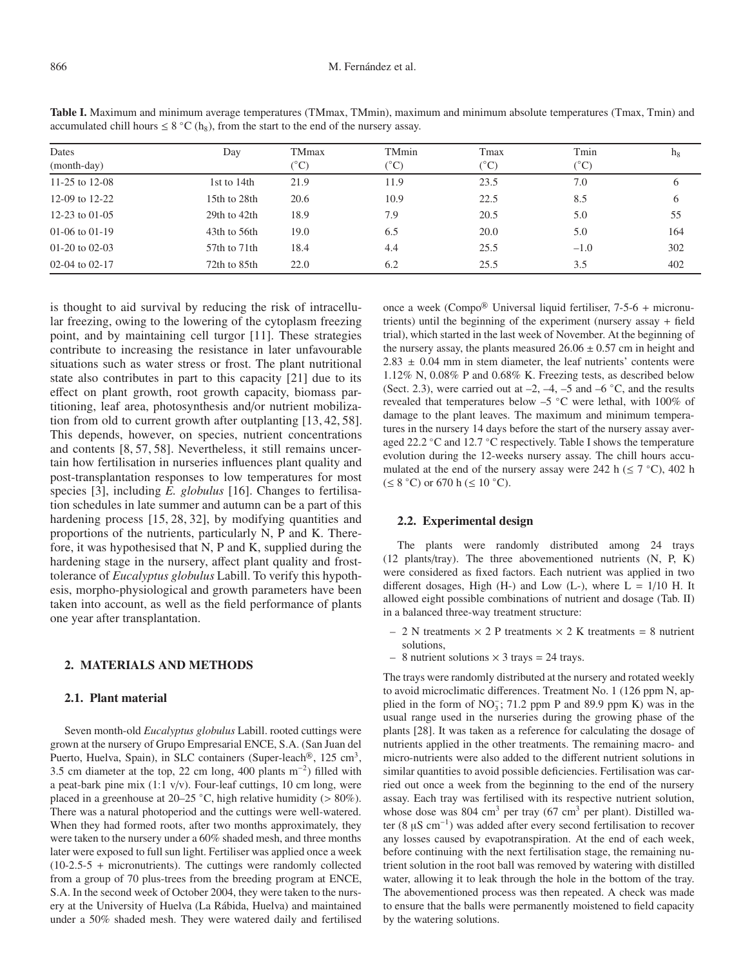**Table I.** Maximum and minimum average temperatures (TMmax, TMmin), maximum and minimum absolute temperatures (Tmax, Tmin) and accumulated chill hours  $\leq 8$  °C (h<sub>8</sub>), from the start to the end of the nursery assay.

| Dates<br>(month-day) | Day          | <b>TMmax</b><br>$(^{\circ}C)$ | TMmin<br>$\rm ^{\circ} C$ | Tmax<br>$(^\circ\mathrm{C})$ | Tmin<br>$^{\circ}$ C) | $h_8$ |
|----------------------|--------------|-------------------------------|---------------------------|------------------------------|-----------------------|-------|
| 11-25 to 12-08       | 1st to 14th  | 21.9                          | 11.9                      | 23.5                         | 7.0                   | b     |
| 12-09 to $12-22$     | 15th to 28th | 20.6                          | 10.9                      | 22.5                         | 8.5                   | 6     |
| 12-23 to $01-05$     | 29th to 42th | 18.9                          | 7.9                       | 20.5                         | 5.0                   | 55    |
| 01-06 to $01-19$     | 43th to 56th | 19.0                          | 6.5                       | 20.0                         | 5.0                   | 164   |
| $01-20$ to $02-03$   | 57th to 71th | 18.4                          | 4.4                       | 25.5                         | $-1.0$                | 302   |
| 02-04 to 02-17       | 72th to 85th | 22.0                          | 6.2                       | 25.5                         | 3.5                   | 402   |

is thought to aid survival by reducing the risk of intracellular freezing, owing to the lowering of the cytoplasm freezing point, and by maintaining cell turgor [11]. These strategies contribute to increasing the resistance in later unfavourable situations such as water stress or frost. The plant nutritional state also contributes in part to this capacity [21] due to its effect on plant growth, root growth capacity, biomass partitioning, leaf area, photosynthesis and/or nutrient mobilization from old to current growth after outplanting [13, 42, 58]. This depends, however, on species, nutrient concentrations and contents [8, 57, 58]. Nevertheless, it still remains uncertain how fertilisation in nurseries influences plant quality and post-transplantation responses to low temperatures for most species [3], including *E. globulus* [16]. Changes to fertilisation schedules in late summer and autumn can be a part of this hardening process [15, 28, 32], by modifying quantities and proportions of the nutrients, particularly N, P and K. Therefore, it was hypothesised that N, P and K, supplied during the hardening stage in the nursery, affect plant quality and frosttolerance of *Eucalyptus globulus* Labill. To verify this hypothesis, morpho-physiological and growth parameters have been taken into account, as well as the field performance of plants one year after transplantation.

# **2. MATERIALS AND METHODS**

## **2.1. Plant material**

Seven month-old *Eucalyptus globulus* Labill. rooted cuttings were grown at the nursery of Grupo Empresarial ENCE, S.A. (San Juan del Puerto, Huelva, Spain), in SLC containers (Super-leach®, 125 cm<sup>3</sup>, 3.5 cm diameter at the top, 22 cm long, 400 plants m−2) filled with a peat-bark pine mix  $(1:1 \text{ v/v})$ . Four-leaf cuttings, 10 cm long, were placed in a greenhouse at 20–25 °C, high relative humidity ( $> 80\%$ ). There was a natural photoperiod and the cuttings were well-watered. When they had formed roots, after two months approximately, they were taken to the nursery under a 60% shaded mesh, and three months later were exposed to full sun light. Fertiliser was applied once a week (10-2.5-5 + micronutrients). The cuttings were randomly collected from a group of 70 plus-trees from the breeding program at ENCE, S.A. In the second week of October 2004, they were taken to the nursery at the University of Huelva (La Rábida, Huelva) and maintained under a 50% shaded mesh. They were watered daily and fertilised

once a week (Compo<sup>®</sup> Universal liquid fertiliser, 7-5-6 + micronutrients) until the beginning of the experiment (nursery assay + field trial), which started in the last week of November. At the beginning of the nursery assay, the plants measured  $26.06 \pm 0.57$  cm in height and  $2.83 \pm 0.04$  mm in stem diameter, the leaf nutrients' contents were 1.12% N, 0.08% P and 0.68% K. Freezing tests, as described below (Sect. 2.3), were carried out at  $-2$ ,  $-4$ ,  $-5$  and  $-6$  °C, and the results revealed that temperatures below  $-5$  °C were lethal, with 100% of damage to the plant leaves. The maximum and minimum temperatures in the nursery 14 days before the start of the nursery assay averaged 22.2 ◦C and 12.7 ◦C respectively. Table I shows the temperature evolution during the 12-weeks nursery assay. The chill hours accumulated at the end of the nursery assay were 242 h ( $\leq 7$  °C), 402 h  $(\leq 8 \degree C)$  or 670 h ( $\leq 10 \degree C$ ).

## **2.2. Experimental design**

The plants were randomly distributed among 24 trays (12 plants/tray). The three abovementioned nutrients (N, P, K) were considered as fixed factors. Each nutrient was applied in two different dosages, High (H-) and Low (L-), where  $L = 1/10$  H. It allowed eight possible combinations of nutrient and dosage (Tab. II) in a balanced three-way treatment structure:

- 2 N treatments  $\times$  2 P treatments  $\times$  2 K treatments = 8 nutrient solutions,
- 8 nutrient solutions  $\times$  3 trays = 24 trays.

The trays were randomly distributed at the nursery and rotated weekly to avoid microclimatic differences. Treatment No. 1 (126 ppm N, applied in the form of  $NO_3^-$ ; 71.2 ppm P and 89.9 ppm K) was in the usual range used in the nurseries during the growing phase of the plants [28]. It was taken as a reference for calculating the dosage of nutrients applied in the other treatments. The remaining macro- and micro-nutrients were also added to the different nutrient solutions in similar quantities to avoid possible deficiencies. Fertilisation was carried out once a week from the beginning to the end of the nursery assay. Each tray was fertilised with its respective nutrient solution, whose dose was  $804 \text{ cm}^3$  per tray (67 cm<sup>3</sup> per plant). Distilled water (8  $\mu$ S cm<sup>-1</sup>) was added after every second fertilisation to recover any losses caused by evapotranspiration. At the end of each week, before continuing with the next fertilisation stage, the remaining nutrient solution in the root ball was removed by watering with distilled water, allowing it to leak through the hole in the bottom of the tray. The abovementioned process was then repeated. A check was made to ensure that the balls were permanently moistened to field capacity by the watering solutions.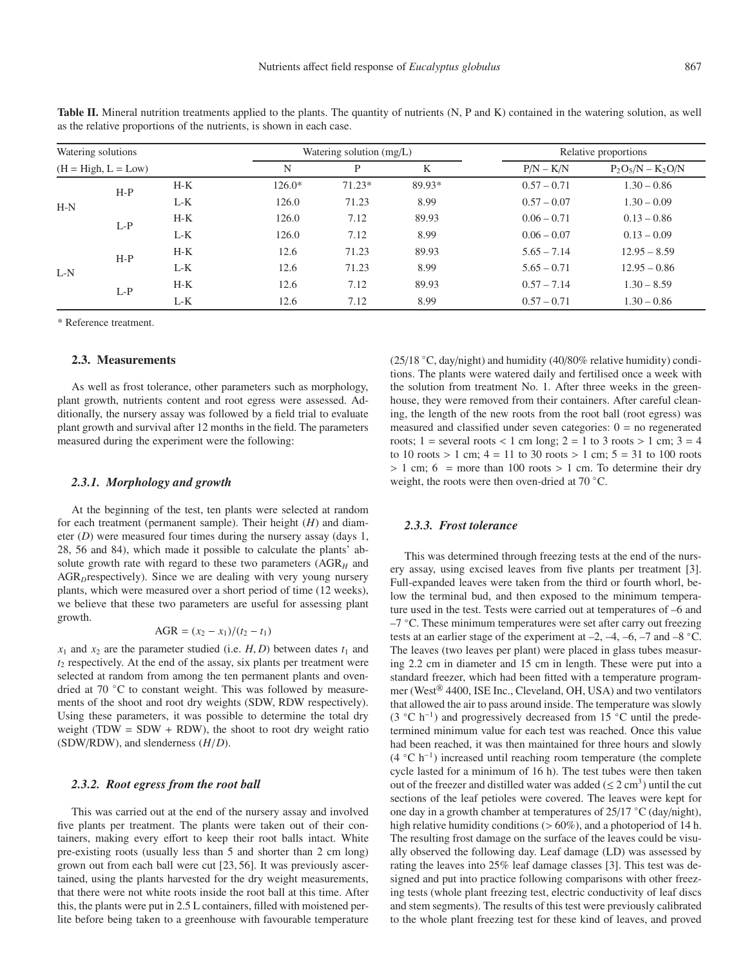|  | Table II. Mineral nutrition treatments applied to the plants. The quantity of nutrients (N, P and K) contained in the watering solution, as well |  |
|--|--------------------------------------------------------------------------------------------------------------------------------------------------|--|

| Watering solutions    |       |       |          | Watering solution (mg/L) |             |                     | Relative proportions |  |  |
|-----------------------|-------|-------|----------|--------------------------|-------------|---------------------|----------------------|--|--|
| $(H = High, L = Low)$ |       | N     | P        |                          | $P/N - K/N$ | $P_2O_5/N - K_2O/N$ |                      |  |  |
|                       | $H-P$ | $H-K$ | $126.0*$ | $71.23*$                 | 89.93*      | $0.57 - 0.71$       | $1.30 - 0.86$        |  |  |
| $H-N$                 |       | L-K   | 126.0    | 71.23                    | 8.99        | $0.57 - 0.07$       | $1.30 - 0.09$        |  |  |
|                       | $L-P$ | $H-K$ | 126.0    | 7.12                     | 89.93       | $0.06 - 0.71$       | $0.13 - 0.86$        |  |  |
|                       |       | L-K   | 126.0    | 7.12                     | 8.99        | $0.06 - 0.07$       | $0.13 - 0.09$        |  |  |
| $L-N$                 | $H-P$ | $H-K$ | 12.6     | 71.23                    | 89.93       | $5.65 - 7.14$       | $12.95 - 8.59$       |  |  |
|                       |       | $L-K$ | 12.6     | 71.23                    | 8.99        | $5.65 - 0.71$       | $12.95 - 0.86$       |  |  |
|                       | $L-P$ | $H-K$ | 12.6     | 7.12                     | 89.93       | $0.57 - 7.14$       | $1.30 - 8.59$        |  |  |
|                       |       | L-K   | 12.6     | 7.12                     | 8.99        | $0.57 - 0.71$       | $1.30 - 0.86$        |  |  |

\* Reference treatment.

## **2.3. Measurements**

As well as frost tolerance, other parameters such as morphology, plant growth, nutrients content and root egress were assessed. Additionally, the nursery assay was followed by a field trial to evaluate plant growth and survival after 12 months in the field. The parameters measured during the experiment were the following:

as the relative proportions of the nutrients, is shown in each case.

## *2.3.1. Morphology and growth*

At the beginning of the test, ten plants were selected at random for each treatment (permanent sample). Their height (*H*) and diameter (*D*) were measured four times during the nursery assay (days 1, 28, 56 and 84), which made it possible to calculate the plants' absolute growth rate with regard to these two parameters  $(AGR<sub>H</sub>$  and AGR<sub>D</sub>respectively). Since we are dealing with very young nursery plants, which were measured over a short period of time (12 weeks), we believe that these two parameters are useful for assessing plant growth.

$$
AGR = (x_2 - x_1)/(t_2 - t_1)
$$

 $x_1$  and  $x_2$  are the parameter studied (i.e. *H*, *D*) between dates  $t_1$  and  $t_2$  respectively. At the end of the assay, six plants per treatment were selected at random from among the ten permanent plants and ovendried at 70 °C to constant weight. This was followed by measurements of the shoot and root dry weights (SDW, RDW respectively). Using these parameters, it was possible to determine the total dry weight (TDW =  $SDW + RDW$ ), the shoot to root dry weight ratio (SDW/RDW), and slenderness (*H*/*D*).

## *2.3.2. Root egress from the root ball*

This was carried out at the end of the nursery assay and involved five plants per treatment. The plants were taken out of their containers, making every effort to keep their root balls intact. White pre-existing roots (usually less than 5 and shorter than 2 cm long) grown out from each ball were cut [23, 56]. It was previously ascertained, using the plants harvested for the dry weight measurements, that there were not white roots inside the root ball at this time. After this, the plants were put in 2.5 L containers, filled with moistened perlite before being taken to a greenhouse with favourable temperature (25/18 ◦C, day/night) and humidity (40/80% relative humidity) conditions. The plants were watered daily and fertilised once a week with the solution from treatment No. 1. After three weeks in the greenhouse, they were removed from their containers. After careful cleaning, the length of the new roots from the root ball (root egress) was measured and classified under seven categories:  $0 =$  no regenerated roots; 1 = several roots < 1 cm long; 2 = 1 to 3 roots > 1 cm; 3 = 4 to 10 roots  $> 1$  cm;  $4 = 11$  to 30 roots  $> 1$  cm;  $5 = 31$  to 100 roots  $> 1$  cm; 6 = more than 100 roots  $> 1$  cm. To determine their dry weight, the roots were then oven-dried at 70 °C.

## *2.3.3. Frost tolerance*

This was determined through freezing tests at the end of the nursery assay, using excised leaves from five plants per treatment [3]. Full-expanded leaves were taken from the third or fourth whorl, below the terminal bud, and then exposed to the minimum temperature used in the test. Tests were carried out at temperatures of –6 and  $-7$  °C. These minimum temperatures were set after carry out freezing tests at an earlier stage of the experiment at  $-2$ ,  $-4$ ,  $-6$ ,  $-7$  and  $-8$  °C. The leaves (two leaves per plant) were placed in glass tubes measuring 2.2 cm in diameter and 15 cm in length. These were put into a standard freezer, which had been fitted with a temperature programmer (West® 4400, ISE Inc., Cleveland, OH, USA) and two ventilators that allowed the air to pass around inside. The temperature was slowly (3  $\degree$ C h<sup>-1</sup>) and progressively decreased from 15  $\degree$ C until the predetermined minimum value for each test was reached. Once this value had been reached, it was then maintained for three hours and slowly (4 ◦C h−1) increased until reaching room temperature (the complete cycle lasted for a minimum of 16 h). The test tubes were then taken out of the freezer and distilled water was added ( $\leq 2$  cm<sup>3</sup>) until the cut sections of the leaf petioles were covered. The leaves were kept for one day in a growth chamber at temperatures of 25/17 ◦C (day/night), high relative humidity conditions ( $> 60\%$ ), and a photoperiod of 14 h. The resulting frost damage on the surface of the leaves could be visually observed the following day. Leaf damage (LD) was assessed by rating the leaves into 25% leaf damage classes [3]. This test was designed and put into practice following comparisons with other freezing tests (whole plant freezing test, electric conductivity of leaf discs and stem segments). The results of this test were previously calibrated to the whole plant freezing test for these kind of leaves, and proved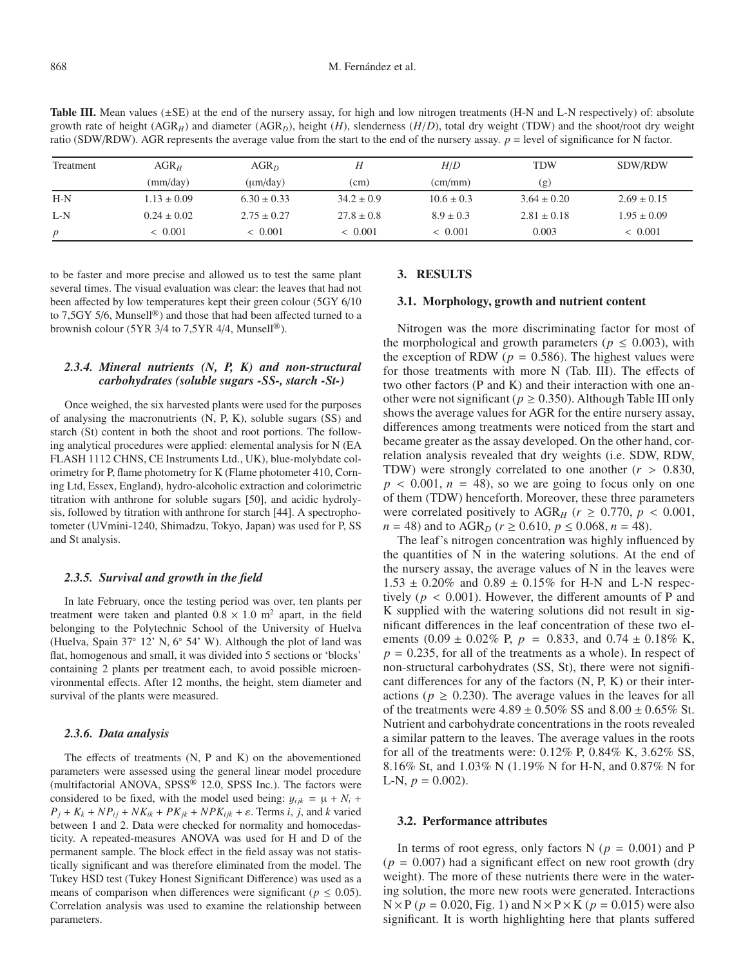**Table III.** Mean values ( $\pm$ SE) at the end of the nursery assay, for high and low nitrogen treatments (H-N and L-N respectively) of: absolute growth rate of height  $(AGR<sub>H</sub>)$  and diameter  $(AGR<sub>D</sub>)$ , height  $(H)$ , slenderness  $(H/D)$ , total dry weight (TDW) and the shoot/root dry weight ratio (SDW/RDW). AGR represents the average value from the start to the end of the nursery assay. *p* = level of significance for N factor.

| Treatment      | $AGR_{H}$       | AGR <sub>D</sub> | Н              | H/D              | TDW             | SDW/RDW         |
|----------------|-----------------|------------------|----------------|------------------|-----------------|-----------------|
|                | (mm/day)        | $(\mu m/day)$    | $\text{cm}$    | $\text{(cm/mm)}$ | (g)             |                 |
| $H-N$          | $1.13 \pm 0.09$ | $6.30 \pm 0.33$  | $34.2 \pm 0.9$ | $10.6 \pm 0.3$   | $3.64 \pm 0.20$ | $2.69 \pm 0.15$ |
| $L-N$          | $0.24 \pm 0.02$ | $2.75 \pm 0.27$  | $27.8 \pm 0.8$ | $8.9 \pm 0.3$    | $2.81 \pm 0.18$ | $1.95 \pm 0.09$ |
| $\overline{p}$ | < 0.001         | < 0.001          | < 0.001        | < 0.001          | 0.003           | < 0.001         |

to be faster and more precise and allowed us to test the same plant several times. The visual evaluation was clear: the leaves that had not been affected by low temperatures kept their green colour (5GY 6/10 to 7,5GY 5/6, Munsell<sup>®</sup>) and those that had been affected turned to a brownish colour (5YR  $3/4$  to 7,5YR  $4/4$ , Munsell®).

# *2.3.4. Mineral nutrients (N, P, K) and non-structural carbohydrates (soluble sugars -SS-, starch -St-)*

Once weighed, the six harvested plants were used for the purposes of analysing the macronutrients (N, P, K), soluble sugars (SS) and starch (St) content in both the shoot and root portions. The following analytical procedures were applied: elemental analysis for N (EA FLASH 1112 CHNS, CE Instruments Ltd., UK), blue-molybdate colorimetry for P, flame photometry for K (Flame photometer 410, Corning Ltd, Essex, England), hydro-alcoholic extraction and colorimetric titration with anthrone for soluble sugars [50], and acidic hydrolysis, followed by titration with anthrone for starch [44]. A spectrophotometer (UVmini-1240, Shimadzu, Tokyo, Japan) was used for P, SS and St analysis.

## *2.3.5. Survival and growth in the field*

In late February, once the testing period was over, ten plants per treatment were taken and planted  $0.8 \times 1.0$  m<sup>2</sup> apart, in the field belonging to the Polytechnic School of the University of Huelva (Huelva, Spain 37◦ 12' N, 6◦ 54' W). Although the plot of land was flat, homogenous and small, it was divided into 5 sections or 'blocks' containing 2 plants per treatment each, to avoid possible microenvironmental effects. After 12 months, the height, stem diameter and survival of the plants were measured.

#### *2.3.6. Data analysis*

The effects of treatments (N, P and K) on the abovementioned parameters were assessed using the general linear model procedure (multifactorial ANOVA, SPSS® 12.0, SPSS Inc.). The factors were considered to be fixed, with the model used being:  $y_{ijk} = \mu + N_i$  $P_i + K_k + NP_{ij} + NK_{ik} + PK_{jk} + NPK_{ijk} + \varepsilon$ . Terms *i*, *j*, and *k* varied between 1 and 2. Data were checked for normality and homocedasticity. A repeated-measures ANOVA was used for H and D of the permanent sample. The block effect in the field assay was not statistically significant and was therefore eliminated from the model. The Tukey HSD test (Tukey Honest Significant Difference) was used as a means of comparison when differences were significant ( $p \leq 0.05$ ). Correlation analysis was used to examine the relationship between parameters.

# **3. RESULTS**

## **3.1. Morphology, growth and nutrient content**

Nitrogen was the more discriminating factor for most of the morphological and growth parameters ( $p \leq 0.003$ ), with the exception of RDW ( $p = 0.586$ ). The highest values were for those treatments with more N (Tab. III). The effects of two other factors (P and K) and their interaction with one another were not significant ( $p \ge 0.350$ ). Although Table III only shows the average values for AGR for the entire nursery assay, differences among treatments were noticed from the start and became greater as the assay developed. On the other hand, correlation analysis revealed that dry weights (i.e. SDW, RDW, TDW) were strongly correlated to one another  $(r > 0.830,$  $p \lt 0.001$ ,  $n = 48$ ), so we are going to focus only on one of them (TDW) henceforth. Moreover, these three parameters were correlated positively to  $AGR$ *H* ( $r \ge 0.770$ ,  $p < 0.001$ ,  $n = 48$ ) and to AGR<sub>*D*</sub> ( $r \ge 0.610$ ,  $p \le 0.068$ ,  $n = 48$ ).

The leaf's nitrogen concentration was highly influenced by the quantities of N in the watering solutions. At the end of the nursery assay, the average values of N in the leaves were  $1.53 \pm 0.20\%$  and  $0.89 \pm 0.15\%$  for H-N and L-N respectively ( $p < 0.001$ ). However, the different amounts of P and K supplied with the watering solutions did not result in significant differences in the leaf concentration of these two elements  $(0.09 \pm 0.02\% \text{ P}, p = 0.833, \text{ and } 0.74 \pm 0.18\% \text{ K}$ ,  $p = 0.235$ , for all of the treatments as a whole). In respect of non-structural carbohydrates (SS, St), there were not significant differences for any of the factors (N, P, K) or their interactions ( $p \ge 0.230$ ). The average values in the leaves for all of the treatments were  $4.89 \pm 0.50\%$  SS and  $8.00 \pm 0.65\%$  St. Nutrient and carbohydrate concentrations in the roots revealed a similar pattern to the leaves. The average values in the roots for all of the treatments were: 0.12% P, 0.84% K, 3.62% SS, 8.16% St, and 1.03% N (1.19% N for H-N, and 0.87% N for L-N,  $p = 0.002$ ).

## **3.2. Performance attributes**

In terms of root egress, only factors  $N (p = 0.001)$  and P  $(p = 0.007)$  had a significant effect on new root growth (dry weight). The more of these nutrients there were in the watering solution, the more new roots were generated. Interactions  $N \times P(p = 0.020, Fig. 1)$  and  $N \times P \times K(p = 0.015)$  were also significant. It is worth highlighting here that plants suffered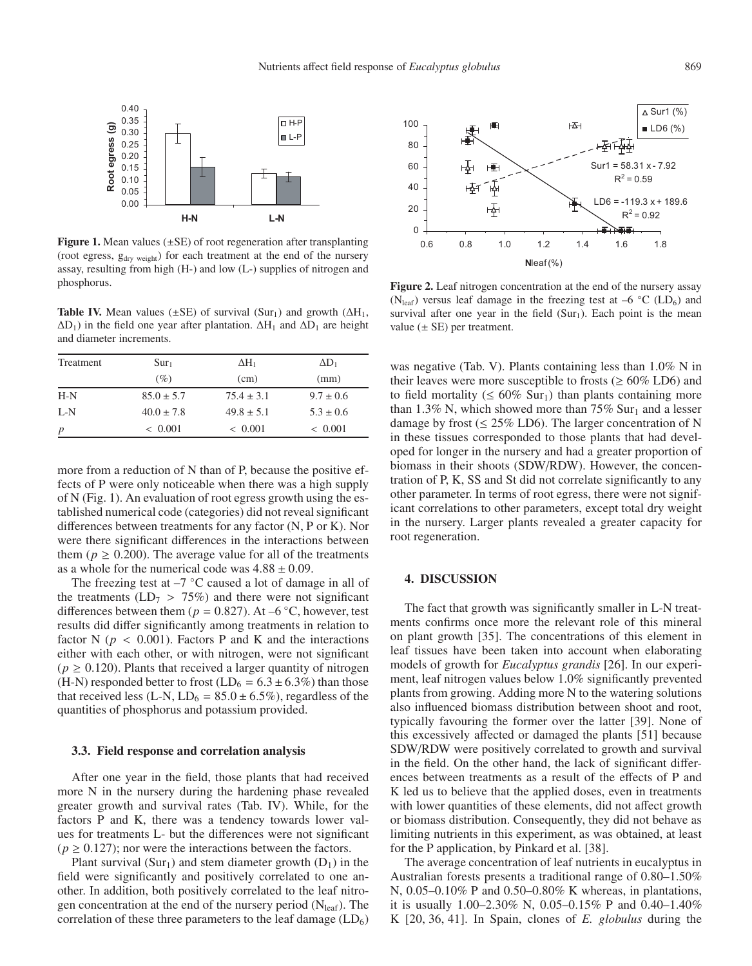

**Figure 1.** Mean values ( $\pm$ SE) of root regeneration after transplanting (root egress,  $g_{dry\ weight}$ ) for each treatment at the end of the nursery assay, resulting from high (H-) and low (L-) supplies of nitrogen and phosphorus.

**Table IV.** Mean values ( $\pm$ SE) of survival (Sur<sub>1</sub>) and growth ( $\Delta H_1$ ,  $\Delta D_1$ ) in the field one year after plantation.  $\Delta H_1$  and  $\Delta D_1$  are height and diameter increments.

| Treatment      | $Sur_1$        | $\Delta H_1$   | $\Delta D_1$  |  |  |
|----------------|----------------|----------------|---------------|--|--|
|                | (%)            | (cm)           | (mm)          |  |  |
| $H-N$          | $85.0 \pm 5.7$ | $75.4 \pm 3.1$ | $9.7 \pm 0.6$ |  |  |
| $L-N$          | $40.0 \pm 7.8$ | $49.8 \pm 5.1$ | $5.3 \pm 0.6$ |  |  |
| $\overline{p}$ | < 0.001        | < 0.001        | < 0.001       |  |  |

more from a reduction of N than of P, because the positive effects of P were only noticeable when there was a high supply of N (Fig. 1). An evaluation of root egress growth using the established numerical code (categories) did not reveal significant differences between treatments for any factor (N, P or K). Nor were there significant differences in the interactions between them ( $p \ge 0.200$ ). The average value for all of the treatments as a whole for the numerical code was  $4.88 \pm 0.09$ .

The freezing test at  $-7$  °C caused a lot of damage in all of the treatments ( $LD_7 > 75\%$ ) and there were not significant differences between them ( $p = 0.827$ ). At –6 °C, however, test results did differ significantly among treatments in relation to factor N ( $p < 0.001$ ). Factors P and K and the interactions either with each other, or with nitrogen, were not significant  $(p \ge 0.120)$ . Plants that received a larger quantity of nitrogen (H-N) responded better to frost (LD<sub>6</sub> =  $6.3 \pm 6.3\%$ ) than those that received less (L-N,  $LD_6 = 85.0 \pm 6.5\%$ ), regardless of the quantities of phosphorus and potassium provided.

#### **3.3. Field response and correlation analysis**

After one year in the field, those plants that had received more N in the nursery during the hardening phase revealed greater growth and survival rates (Tab. IV). While, for the factors P and K, there was a tendency towards lower values for treatments L- but the differences were not significant  $(p \ge 0.127)$ ; nor were the interactions between the factors.

Plant survival  $(Sur_1)$  and stem diameter growth  $(D_1)$  in the field were significantly and positively correlated to one another. In addition, both positively correlated to the leaf nitrogen concentration at the end of the nursery period  $(N_{\text{leaf}})$ . The correlation of these three parameters to the leaf damage  $(LD_6)$ 



**Figure 2.** Leaf nitrogen concentration at the end of the nursery assay (N<sub>leaf</sub>) versus leaf damage in the freezing test at –6 °C (LD<sub>6</sub>) and survival after one year in the field  $(Sur_1)$ . Each point is the mean value  $(\pm \text{ SE})$  per treatment.

was negative (Tab. V). Plants containing less than 1.0% N in their leaves were more susceptible to frosts ( $\geq 60\%$  LD6) and to field mortality ( $\leq 60\%$  Sur<sub>1</sub>) than plants containing more than 1.3% N, which showed more than  $75\%$  Sur<sub>1</sub> and a lesser damage by frost ( $\leq 25\%$  LD6). The larger concentration of N in these tissues corresponded to those plants that had developed for longer in the nursery and had a greater proportion of biomass in their shoots (SDW/RDW). However, the concentration of P, K, SS and St did not correlate significantly to any other parameter. In terms of root egress, there were not significant correlations to other parameters, except total dry weight in the nursery. Larger plants revealed a greater capacity for root regeneration.

## **4. DISCUSSION**

The fact that growth was significantly smaller in L-N treatments confirms once more the relevant role of this mineral on plant growth [35]. The concentrations of this element in leaf tissues have been taken into account when elaborating models of growth for *Eucalyptus grandis* [26]. In our experiment, leaf nitrogen values below 1.0% significantly prevented plants from growing. Adding more N to the watering solutions also influenced biomass distribution between shoot and root, typically favouring the former over the latter [39]. None of this excessively affected or damaged the plants [51] because SDW/RDW were positively correlated to growth and survival in the field. On the other hand, the lack of significant differences between treatments as a result of the effects of P and K led us to believe that the applied doses, even in treatments with lower quantities of these elements, did not affect growth or biomass distribution. Consequently, they did not behave as limiting nutrients in this experiment, as was obtained, at least for the P application, by Pinkard et al. [38].

The average concentration of leaf nutrients in eucalyptus in Australian forests presents a traditional range of 0.80–1.50% N, 0.05–0.10% P and 0.50–0.80% K whereas, in plantations, it is usually 1.00–2.30% N, 0.05–0.15% P and 0.40–1.40% K [20, 36, 41]. In Spain, clones of *E. globulus* during the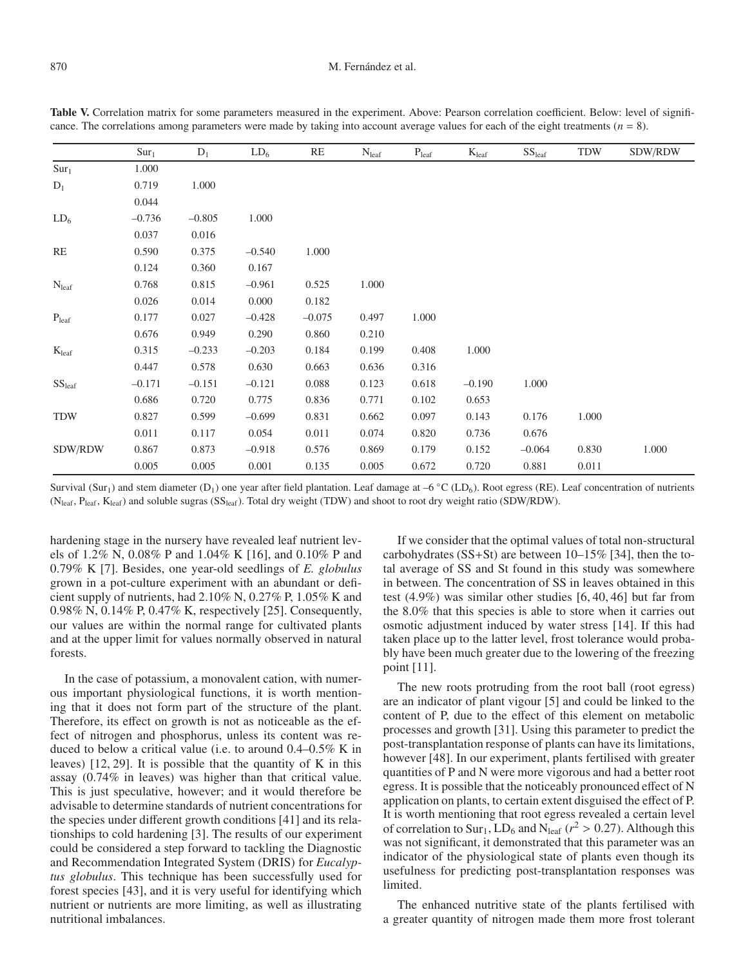#### 870 M. Fernández et al.

Table V. Correlation matrix for some parameters measured in the experiment. Above: Pearson correlation coefficient. Below: level of significance. The correlations among parameters were made by taking into account average values for each of the eight treatments  $(n = 8)$ .

|                    | Sur <sub>1</sub> | $D_1$    | $LD_6$   | RE       | $N_{\text{leaf}}$ | $P_{leaf}$ | $K_{\text{leaf}}$ | $SS_{\rm leaf}$ | <b>TDW</b> | SDW/RDW |
|--------------------|------------------|----------|----------|----------|-------------------|------------|-------------------|-----------------|------------|---------|
| Sur <sub>1</sub>   | 1.000            |          |          |          |                   |            |                   |                 |            |         |
| $D_1$              | 0.719            | 1.000    |          |          |                   |            |                   |                 |            |         |
|                    | 0.044            |          |          |          |                   |            |                   |                 |            |         |
| $LD_6$             | $-0.736$         | $-0.805$ | 1.000    |          |                   |            |                   |                 |            |         |
|                    | 0.037            | 0.016    |          |          |                   |            |                   |                 |            |         |
| RE                 | 0.590            | 0.375    | $-0.540$ | 1.000    |                   |            |                   |                 |            |         |
|                    | 0.124            | 0.360    | 0.167    |          |                   |            |                   |                 |            |         |
| $N_{leaf}$         | 0.768            | 0.815    | $-0.961$ | 0.525    | 1.000             |            |                   |                 |            |         |
|                    | 0.026            | 0.014    | 0.000    | 0.182    |                   |            |                   |                 |            |         |
| $P_{leaf}$         | 0.177            | 0.027    | $-0.428$ | $-0.075$ | 0.497             | 1.000      |                   |                 |            |         |
|                    | 0.676            | 0.949    | 0.290    | 0.860    | 0.210             |            |                   |                 |            |         |
| $K_{leaf}$         | 0.315            | $-0.233$ | $-0.203$ | 0.184    | 0.199             | 0.408      | 1.000             |                 |            |         |
|                    | 0.447            | 0.578    | 0.630    | 0.663    | 0.636             | 0.316      |                   |                 |            |         |
| SS <sub>leaf</sub> | $-0.171$         | $-0.151$ | $-0.121$ | 0.088    | 0.123             | 0.618      | $-0.190$          | 1.000           |            |         |
|                    | 0.686            | 0.720    | 0.775    | 0.836    | 0.771             | 0.102      | 0.653             |                 |            |         |
| <b>TDW</b>         | 0.827            | 0.599    | $-0.699$ | 0.831    | 0.662             | 0.097      | 0.143             | 0.176           | 1.000      |         |
|                    | 0.011            | 0.117    | 0.054    | 0.011    | 0.074             | 0.820      | 0.736             | 0.676           |            |         |
| SDW/RDW            | 0.867            | 0.873    | $-0.918$ | 0.576    | 0.869             | 0.179      | 0.152             | $-0.064$        | 0.830      | 1.000   |
|                    | 0.005            | 0.005    | 0.001    | 0.135    | 0.005             | 0.672      | 0.720             | 0.881           | 0.011      |         |

Survival (Sur<sub>1</sub>) and stem diameter (D<sub>1</sub>) one year after field plantation. Leaf damage at –6 °C (LD<sub>6</sub>). Root egress (RE). Leaf concentration of nutrients (Nleaf, Pleaf, Kleaf) and soluble sugras (SSleaf). Total dry weight (TDW) and shoot to root dry weight ratio (SDW/RDW).

hardening stage in the nursery have revealed leaf nutrient levels of 1.2% N, 0.08% P and 1.04% K [16], and 0.10% P and 0.79% K [7]. Besides, one year-old seedlings of *E. globulus* grown in a pot-culture experiment with an abundant or deficient supply of nutrients, had 2.10% N, 0.27% P, 1.05% K and 0.98% N, 0.14% P, 0.47% K, respectively [25]. Consequently, our values are within the normal range for cultivated plants and at the upper limit for values normally observed in natural forests.

In the case of potassium, a monovalent cation, with numerous important physiological functions, it is worth mentioning that it does not form part of the structure of the plant. Therefore, its effect on growth is not as noticeable as the effect of nitrogen and phosphorus, unless its content was reduced to below a critical value (i.e. to around 0.4–0.5% K in leaves)  $[12, 29]$ . It is possible that the quantity of K in this assay (0.74% in leaves) was higher than that critical value. This is just speculative, however; and it would therefore be advisable to determine standards of nutrient concentrations for the species under different growth conditions [41] and its relationships to cold hardening [3]. The results of our experiment could be considered a step forward to tackling the Diagnostic and Recommendation Integrated System (DRIS) for *Eucalyptus globulus*. This technique has been successfully used for forest species [43], and it is very useful for identifying which nutrient or nutrients are more limiting, as well as illustrating nutritional imbalances.

If we consider that the optimal values of total non-structural carbohydrates (SS+St) are between 10–15% [34], then the total average of SS and St found in this study was somewhere in between. The concentration of SS in leaves obtained in this test (4.9%) was similar other studies [6, 40, 46] but far from the 8.0% that this species is able to store when it carries out osmotic adjustment induced by water stress [14]. If this had taken place up to the latter level, frost tolerance would probably have been much greater due to the lowering of the freezing point [11].

The new roots protruding from the root ball (root egress) are an indicator of plant vigour [5] and could be linked to the content of P, due to the effect of this element on metabolic processes and growth [31]. Using this parameter to predict the post-transplantation response of plants can have its limitations, however [48]. In our experiment, plants fertilised with greater quantities of P and N were more vigorous and had a better root egress. It is possible that the noticeably pronounced effect of N application on plants, to certain extent disguised the effect of P. It is worth mentioning that root egress revealed a certain level of correlation to Sur<sub>1</sub>, LD<sub>6</sub> and N<sub>leaf</sub> ( $r^2 > 0.27$ ). Although this was not significant, it demonstrated that this parameter was an indicator of the physiological state of plants even though its usefulness for predicting post-transplantation responses was limited.

The enhanced nutritive state of the plants fertilised with a greater quantity of nitrogen made them more frost tolerant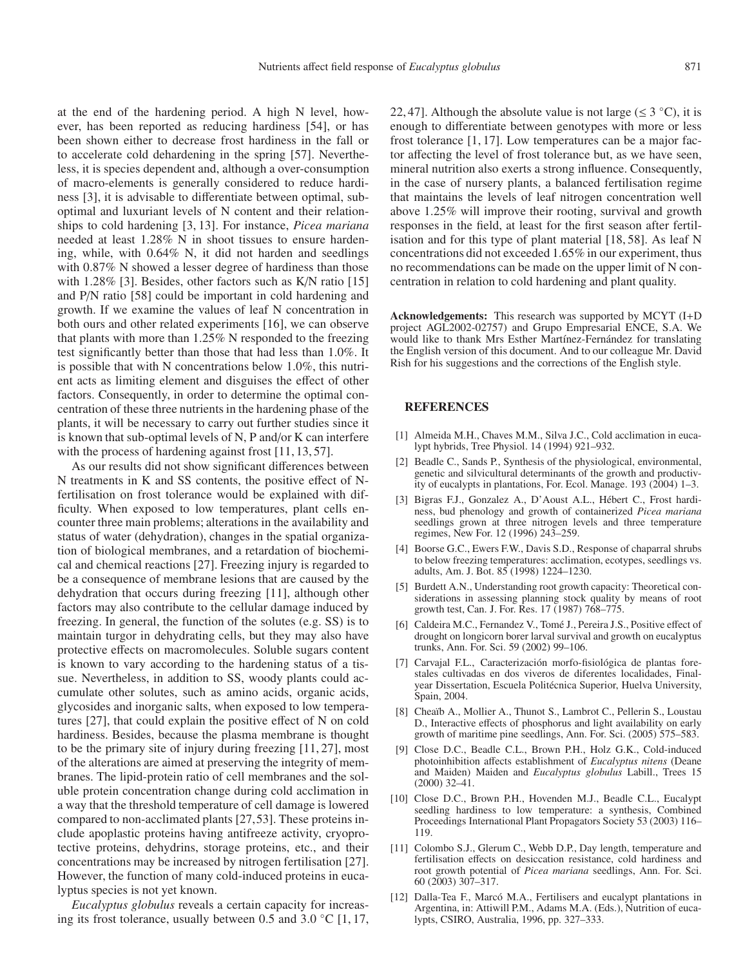at the end of the hardening period. A high N level, however, has been reported as reducing hardiness [54], or has been shown either to decrease frost hardiness in the fall or to accelerate cold dehardening in the spring [57]. Nevertheless, it is species dependent and, although a over-consumption of macro-elements is generally considered to reduce hardiness [3], it is advisable to differentiate between optimal, suboptimal and luxuriant levels of N content and their relationships to cold hardening [3, 13]. For instance, *Picea mariana* needed at least 1.28% N in shoot tissues to ensure hardening, while, with 0.64% N, it did not harden and seedlings with 0.87% N showed a lesser degree of hardiness than those with 1.28% [3]. Besides, other factors such as K/N ratio [15] and P/N ratio [58] could be important in cold hardening and growth. If we examine the values of leaf N concentration in both ours and other related experiments [16], we can observe that plants with more than 1.25% N responded to the freezing test significantly better than those that had less than 1.0%. It is possible that with N concentrations below 1.0%, this nutrient acts as limiting element and disguises the effect of other factors. Consequently, in order to determine the optimal concentration of these three nutrients in the hardening phase of the plants, it will be necessary to carry out further studies since it is known that sub-optimal levels of N, P and/or K can interfere with the process of hardening against frost [11, 13, 57].

As our results did not show significant differences between N treatments in K and SS contents, the positive effect of Nfertilisation on frost tolerance would be explained with difficulty. When exposed to low temperatures, plant cells encounter three main problems; alterations in the availability and status of water (dehydration), changes in the spatial organization of biological membranes, and a retardation of biochemical and chemical reactions [27]. Freezing injury is regarded to be a consequence of membrane lesions that are caused by the dehydration that occurs during freezing [11], although other factors may also contribute to the cellular damage induced by freezing. In general, the function of the solutes (e.g. SS) is to maintain turgor in dehydrating cells, but they may also have protective effects on macromolecules. Soluble sugars content is known to vary according to the hardening status of a tissue. Nevertheless, in addition to SS, woody plants could accumulate other solutes, such as amino acids, organic acids, glycosides and inorganic salts, when exposed to low temperatures [27], that could explain the positive effect of N on cold hardiness. Besides, because the plasma membrane is thought to be the primary site of injury during freezing [11, 27], most of the alterations are aimed at preserving the integrity of membranes. The lipid-protein ratio of cell membranes and the soluble protein concentration change during cold acclimation in a way that the threshold temperature of cell damage is lowered compared to non-acclimated plants [27,53]. These proteins include apoplastic proteins having antifreeze activity, cryoprotective proteins, dehydrins, storage proteins, etc., and their concentrations may be increased by nitrogen fertilisation [27]. However, the function of many cold-induced proteins in eucalyptus species is not yet known.

*Eucalyptus globulus* reveals a certain capacity for increasing its frost tolerance, usually between 0.5 and 3.0 ◦C [1, 17, 22, 47]. Although the absolute value is not large ( $\leq 3$  °C), it is enough to differentiate between genotypes with more or less frost tolerance [1, 17]. Low temperatures can be a major factor affecting the level of frost tolerance but, as we have seen, mineral nutrition also exerts a strong influence. Consequently, in the case of nursery plants, a balanced fertilisation regime that maintains the levels of leaf nitrogen concentration well above 1.25% will improve their rooting, survival and growth responses in the field, at least for the first season after fertilisation and for this type of plant material [18, 58]. As leaf N concentrations did not exceeded 1.65% in our experiment, thus no recommendations can be made on the upper limit of N concentration in relation to cold hardening and plant quality.

**Acknowledgements:** This research was supported by MCYT (I+D project AGL2002-02757) and Grupo Empresarial ENCE, S.A. We would like to thank Mrs Esther Martínez-Fernández for translating the English version of this document. And to our colleague Mr. David Rish for his suggestions and the corrections of the English style.

# **REFERENCES**

- [1] Almeida M.H., Chaves M.M., Silva J.C., Cold acclimation in eucalypt hybrids, Tree Physiol. 14 (1994) 921–932.
- [2] Beadle C., Sands P., Synthesis of the physiological, environmental, genetic and silvicultural determinants of the growth and productivity of eucalypts in plantations, For. Ecol. Manage. 193 (2004) 1–3.
- [3] Bigras F.J., Gonzalez A., D'Aoust A.L., Hébert C., Frost hardiness, bud phenology and growth of containerized *Picea mariana* seedlings grown at three nitrogen levels and three temperature regimes, New For. 12 (1996) 243–259.
- [4] Boorse G.C., Ewers F.W., Davis S.D., Response of chaparral shrubs to below freezing temperatures: acclimation, ecotypes, seedlings vs. adults, Am. J. Bot. 85 (1998) 1224–1230.
- [5] Burdett A.N., Understanding root growth capacity: Theoretical considerations in assessing planning stock quality by means of root growth test, Can. J. For. Res. 17 (1987) 768–775.
- [6] Caldeira M.C., Fernandez V., Tomé J., Pereira J.S., Positive effect of drought on longicorn borer larval survival and growth on eucalyptus trunks, Ann. For. Sci. 59 (2002) 99–106.
- [7] Carvajal F.L., Caracterización morfo-fisiológica de plantas forestales cultivadas en dos viveros de diferentes localidades, Finalyear Dissertation, Escuela Politécnica Superior, Huelva University, Spain, 2004.
- [8] Cheaïb A., Mollier A., Thunot S., Lambrot C., Pellerin S., Loustau D., Interactive effects of phosphorus and light availability on early growth of maritime pine seedlings, Ann. For. Sci. (2005) 575–583.
- [9] Close D.C., Beadle C.L., Brown P.H., Holz G.K., Cold-induced photoinhibition affects establishment of *Eucalyptus nitens* (Deane and Maiden) Maiden and *Eucalyptus globulus* Labill., Trees 15 (2000) 32–41.
- [10] Close D.C., Brown P.H., Hovenden M.J., Beadle C.L., Eucalypt seedling hardiness to low temperature: a synthesis, Combined Proceedings International Plant Propagators Society 53 (2003) 116– 119.
- [11] Colombo S.J., Glerum C., Webb D.P., Day length, temperature and fertilisation effects on desiccation resistance, cold hardiness and root growth potential of *Picea mariana* seedlings, Ann. For. Sci. 60 (2003) 307–317.
- [12] Dalla-Tea F., Marcó M.A., Fertilisers and eucalypt plantations in Argentina, in: Attiwill P.M., Adams M.A. (Eds.), Nutrition of eucalypts, CSIRO, Australia, 1996, pp. 327–333.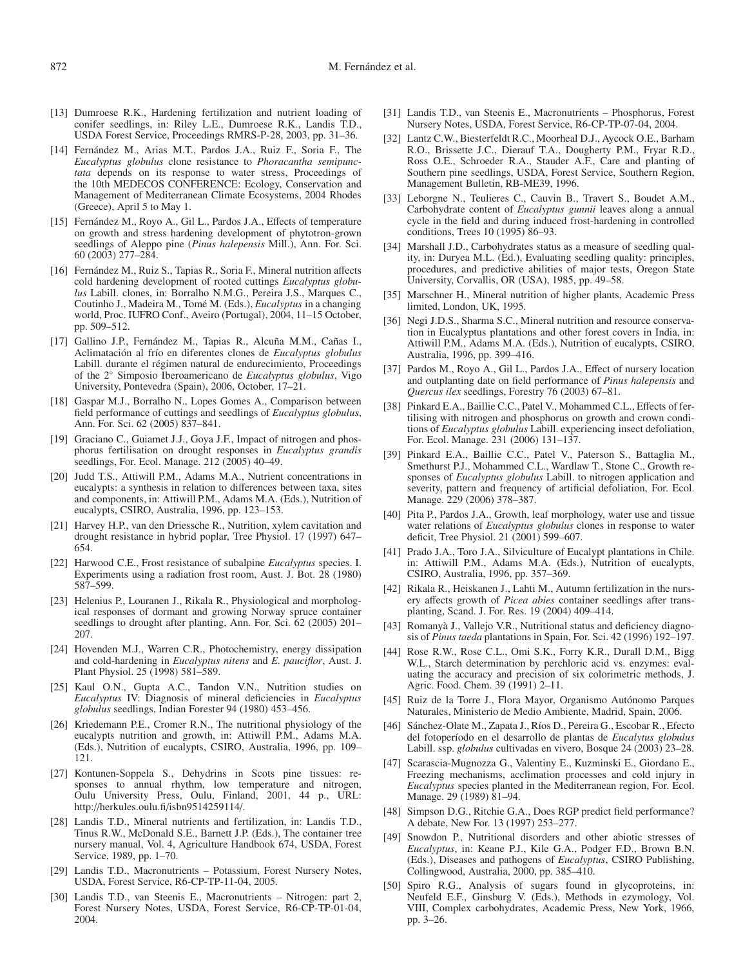- [13] Dumroese R.K., Hardening fertilization and nutrient loading of conifer seedlings, in: Riley L.E., Dumroese R.K., Landis T.D., USDA Forest Service, Proceedings RMRS-P-28, 2003, pp. 31–36.
- [14] Fernández M., Arias M.T., Pardos J.A., Ruiz F., Soria F., The *Eucalyptus globulus* clone resistance to *Phoracantha semipunctata* depends on its response to water stress, Proceedings of the 10th MEDECOS CONFERENCE: Ecology, Conservation and Management of Mediterranean Climate Ecosystems, 2004 Rhodes (Greece), April 5 to May 1.
- [15] Fernández M., Royo A., Gil L., Pardos J.A., Effects of temperature on growth and stress hardening development of phytotron-grown seedlings of Aleppo pine (*Pinus halepensis* Mill.), Ann. For. Sci. 60 (2003) 277–284.
- [16] Fernández M., Ruiz S., Tapias R., Soria F., Mineral nutrition affects cold hardening development of rooted cuttings *Eucalyptus globulus* Labill. clones, in: Borralho N.M.G., Pereira J.S., Marques C., Coutinho J., Madeira M., Tomé M. (Eds.), *Eucalyptus* in a changing world, Proc. IUFRO Conf., Aveiro (Portugal), 2004, 11–15 October, pp. 509–512.
- [17] Gallino J.P., Fernández M., Tapias R., Alcuña M.M., Cañas I., Aclimatación al frío en diferentes clones de *Eucalyptus globulus* Labill. durante el régimen natural de endurecimiento, Proceedings of the 2◦ Simposio Iberoamericano de *Eucalyptus globulus*, Vigo University, Pontevedra (Spain), 2006, October, 17–21.
- [18] Gaspar M.J., Borralho N., Lopes Gomes A., Comparison between field performance of cuttings and seedlings of *Eucalyptus globulus*, Ann. For. Sci. 62 (2005) 837–841.
- [19] Graciano C., Guiamet J.J., Goya J.F., Impact of nitrogen and phosphorus fertilisation on drought responses in *Eucalyptus grandis* seedlings, For. Ecol. Manage. 212 (2005) 40–49.
- [20] Judd T.S., Attiwill P.M., Adams M.A., Nutrient concentrations in eucalypts: a synthesis in relation to differences between taxa, sites and components, in: Attiwill P.M., Adams M.A. (Eds.), Nutrition of eucalypts, CSIRO, Australia, 1996, pp. 123–153.
- [21] Harvey H.P., van den Driessche R., Nutrition, xylem cavitation and drought resistance in hybrid poplar, Tree Physiol. 17 (1997) 647– 654.
- [22] Harwood C.E., Frost resistance of subalpine *Eucalyptus* species. I. Experiments using a radiation frost room, Aust. J. Bot. 28 (1980) 587–599.
- [23] Helenius P., Louranen J., Rikala R., Physiological and morphological responses of dormant and growing Norway spruce container seedlings to drought after planting, Ann. For. Sci. 62 (2005) 201– 207.
- [24] Hovenden M.J., Warren C.R., Photochemistry, energy dissipation and cold-hardening in *Eucalyptus nitens* and *E. pauciflor*, Aust. J. Plant Physiol. 25 (1998) 581–589.
- [25] Kaul O.N., Gupta A.C., Tandon V.N., Nutrition studies on *Eucalyptus* IV: Diagnosis of mineral deficiencies in *Eucalyptus globulus* seedlings, Indian Forester 94 (1980) 453–456.
- [26] Kriedemann P.E., Cromer R.N., The nutritional physiology of the eucalypts nutrition and growth, in: Attiwill P.M., Adams M.A. (Eds.), Nutrition of eucalypts, CSIRO, Australia, 1996, pp. 109– 121.
- [27] Kontunen-Soppela S., Dehydrins in Scots pine tissues: responses to annual rhythm, low temperature and nitrogen, Oulu University Press, Oulu, Finland, 2001, 44 p., URL: http://herkules.oulu.fi/isbn9514259114/.
- [28] Landis T.D., Mineral nutrients and fertilization, in: Landis T.D., Tinus R.W., McDonald S.E., Barnett J.P. (Eds.), The container tree nursery manual, Vol. 4, Agriculture Handbook 674, USDA, Forest Service, 1989, pp. 1–70.
- [29] Landis T.D., Macronutrients Potassium, Forest Nursery Notes, USDA, Forest Service, R6-CP-TP-11-04, 2005.
- [30] Landis T.D., van Steenis E., Macronutrients Nitrogen: part 2, Forest Nursery Notes, USDA, Forest Service, R6-CP-TP-01-04, 2004.
- [31] Landis T.D., van Steenis E., Macronutrients Phosphorus, Forest Nursery Notes, USDA, Forest Service, R6-CP-TP-07-04, 2004.
- [32] Lantz C.W., Biesterfeldt R.C., Moorheal D.J., Aycock O.E., Barham R.O., Brissette J.C., Dierauf T.A., Dougherty P.M., Fryar R.D., Ross O.E., Schroeder R.A., Stauder A.F., Care and planting of Southern pine seedlings, USDA, Forest Service, Southern Region, Management Bulletin, RB-ME39, 1996.
- [33] Leborgne N., Teulieres C., Cauvin B., Travert S., Boudet A.M., Carbohydrate content of *Eucalyptus gunnii* leaves along a annual cycle in the field and during induced frost-hardening in controlled conditions, Trees 10 (1995) 86–93.
- [34] Marshall J.D., Carbohydrates status as a measure of seedling quality, in: Duryea M.L. (Ed.), Evaluating seedling quality: principles, procedures, and predictive abilities of major tests, Oregon State University, Corvallis, OR (USA), 1985, pp. 49–58.
- [35] Marschner H., Mineral nutrition of higher plants, Academic Press limited, London, UK, 1995.
- [36] Negi J.D.S., Sharma S.C., Mineral nutrition and resource conservation in Eucalyptus plantations and other forest covers in India, in: Attiwill P.M., Adams M.A. (Eds.), Nutrition of eucalypts, CSIRO, Australia, 1996, pp. 399–416.
- [37] Pardos M., Royo A., Gil L., Pardos J.A., Effect of nursery location and outplanting date on field performance of *Pinus halepensis* and *Quercus ilex* seedlings, Forestry 76 (2003) 67–81.
- [38] Pinkard E.A., Baillie C.C., Patel V., Mohammed C.L., Effects of fertilising with nitrogen and phosphorus on growth and crown conditions of *Eucalyptus globulus* Labill. experiencing insect defoliation, For. Ecol. Manage. 231 (2006) 131–137.
- [39] Pinkard E.A., Baillie C.C., Patel V., Paterson S., Battaglia M., Smethurst P.J., Mohammed C.L., Wardlaw T., Stone C., Growth responses of *Eucalyptus globulus* Labill. to nitrogen application and severity, pattern and frequency of artificial defoliation, For. Ecol. Manage. 229 (2006) 378–387.
- [40] Pita P., Pardos J.A., Growth, leaf morphology, water use and tissue water relations of *Eucalyptus globulus* clones in response to water deficit, Tree Physiol. 21 (2001) 599–607.
- [41] Prado J.A., Toro J.A., Silviculture of Eucalypt plantations in Chile. in: Attiwill P.M., Adams M.A. (Eds.), Nutrition of eucalypts, CSIRO, Australia, 1996, pp. 357–369.
- [42] Rikala R., Heiskanen J., Lahti M., Autumn fertilization in the nursery affects growth of *Picea abies* container seedlings after transplanting, Scand. J. For. Res. 19 (2004) 409–414.
- [43] Romanyà J., Vallejo V.R., Nutritional status and deficiency diagnosis of *Pinus taeda* plantations in Spain, For. Sci. 42 (1996) 192–197.
- [44] Rose R.W., Rose C.L., Omi S.K., Forry K.R., Durall D.M., Bigg W.L., Starch determination by perchloric acid vs. enzymes: evaluating the accuracy and precision of six colorimetric methods, J. Agric. Food. Chem. 39 (1991) 2–11.
- [45] Ruiz de la Torre J., Flora Mayor, Organismo Autónomo Parques Naturales, Ministerio de Medio Ambiente, Madrid, Spain, 2006.
- [46] Sánchez-Olate M., Zapata J., Ríos D., Pereira G., Escobar R., Efecto del fotoperíodo en el desarrollo de plantas de *Eucalytus globulus* Labill. ssp. *globulus* cultivadas en vivero, Bosque 24 (2003) 23–28.
- [47] Scarascia-Mugnozza G., Valentiny E., Kuzminski E., Giordano E., Freezing mechanisms, acclimation processes and cold injury in *Eucalyptus* species planted in the Mediterranean region, For. Ecol. Manage. 29 (1989) 81–94.
- [48] Simpson D.G., Ritchie G.A., Does RGP predict field performance? A debate, New For. 13 (1997) 253–277.
- [49] Snowdon P., Nutritional disorders and other abiotic stresses of *Eucalyptus*, in: Keane P.J., Kile G.A., Podger F.D., Brown B.N. (Eds.), Diseases and pathogens of *Eucalyptus*, CSIRO Publishing, Collingwood, Australia, 2000, pp. 385–410.
- [50] Spiro R.G., Analysis of sugars found in glycoproteins, in: Neufeld E.F., Ginsburg V. (Eds.), Methods in ezymology, Vol. VIII, Complex carbohydrates, Academic Press, New York, 1966, pp. 3–26.